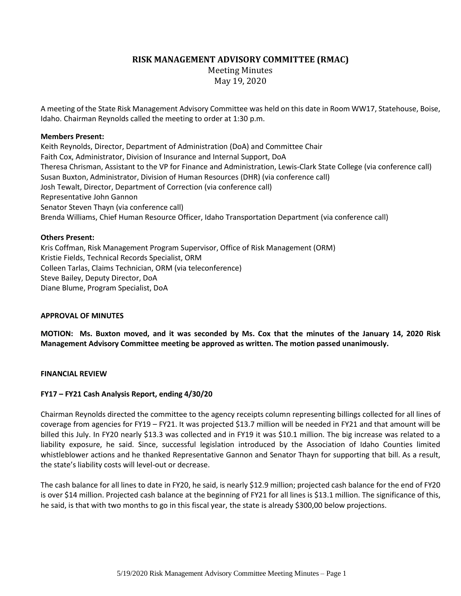**RISK MANAGEMENT ADVISORY COMMITTEE (RMAC)**

Meeting Minutes May 19, 2020

A meeting of the State Risk Management Advisory Committee was held on this date in Room WW17, Statehouse, Boise, Idaho. Chairman Reynolds called the meeting to order at 1:30 p.m.

## **Members Present:**

Keith Reynolds, Director, Department of Administration (DoA) and Committee Chair Faith Cox, Administrator, Division of Insurance and Internal Support, DoA Theresa Chrisman, Assistant to the VP for Finance and Administration, Lewis-Clark State College (via conference call) Susan Buxton, Administrator, Division of Human Resources (DHR) (via conference call) Josh Tewalt, Director, Department of Correction (via conference call) Representative John Gannon Senator Steven Thayn (via conference call) Brenda Williams, Chief Human Resource Officer, Idaho Transportation Department (via conference call)

# **Others Present:**

Kris Coffman, Risk Management Program Supervisor, Office of Risk Management (ORM) Kristie Fields, Technical Records Specialist, ORM Colleen Tarlas, Claims Technician, ORM (via teleconference) Steve Bailey, Deputy Director, DoA Diane Blume, Program Specialist, DoA

## **APPROVAL OF MINUTES**

**MOTION: Ms. Buxton moved, and it was seconded by Ms. Cox that the minutes of the January 14, 2020 Risk Management Advisory Committee meeting be approved as written. The motion passed unanimously.**

## **FINANCIAL REVIEW**

# **FY17 – FY21 Cash Analysis Report, ending 4/30/20**

Chairman Reynolds directed the committee to the agency receipts column representing billings collected for all lines of coverage from agencies for FY19 – FY21. It was projected \$13.7 million will be needed in FY21 and that amount will be billed this July. In FY20 nearly \$13.3 was collected and in FY19 it was \$10.1 million. The big increase was related to a liability exposure, he said. Since, successful legislation introduced by the Association of Idaho Counties limited whistleblower actions and he thanked Representative Gannon and Senator Thayn for supporting that bill. As a result, the state's liability costs will level-out or decrease.

The cash balance for all lines to date in FY20, he said, is nearly \$12.9 million; projected cash balance for the end of FY20 is over \$14 million. Projected cash balance at the beginning of FY21 for all lines is \$13.1 million. The significance of this, he said, is that with two months to go in this fiscal year, the state is already \$300,00 below projections.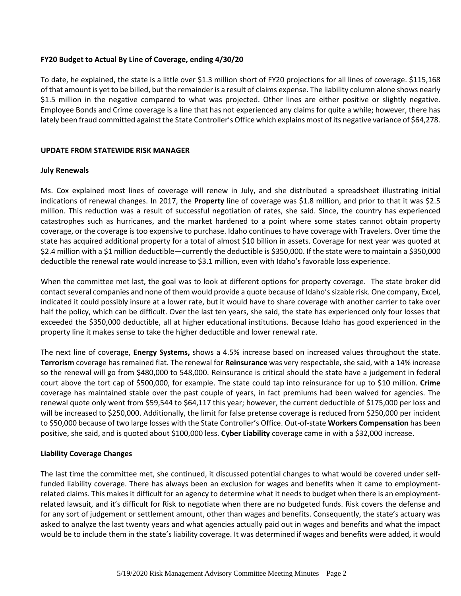### **FY20 Budget to Actual By Line of Coverage, ending 4/30/20**

To date, he explained, the state is a little over \$1.3 million short of FY20 projections for all lines of coverage. \$115,168 of that amount is yet to be billed, but the remainder is a result of claims expense. The liability column alone shows nearly \$1.5 million in the negative compared to what was projected. Other lines are either positive or slightly negative. Employee Bonds and Crime coverage is a line that has not experienced any claims for quite a while; however, there has lately been fraud committed against the State Controller's Office which explains most of its negative variance of \$64,278.

### **UPDATE FROM STATEWIDE RISK MANAGER**

### **July Renewals**

Ms. Cox explained most lines of coverage will renew in July, and she distributed a spreadsheet illustrating initial indications of renewal changes. In 2017, the **Property** line of coverage was \$1.8 million, and prior to that it was \$2.5 million. This reduction was a result of successful negotiation of rates, she said. Since, the country has experienced catastrophes such as hurricanes, and the market hardened to a point where some states cannot obtain property coverage, or the coverage is too expensive to purchase. Idaho continues to have coverage with Travelers. Over time the state has acquired additional property for a total of almost \$10 billion in assets. Coverage for next year was quoted at \$2.4 million with a \$1 million deductible—currently the deductible is \$350,000. If the state were to maintain a \$350,000 deductible the renewal rate would increase to \$3.1 million, even with Idaho's favorable loss experience.

When the committee met last, the goal was to look at different options for property coverage. The state broker did contact several companies and none of them would provide a quote because of Idaho'ssizable risk. One company, Excel, indicated it could possibly insure at a lower rate, but it would have to share coverage with another carrier to take over half the policy, which can be difficult. Over the last ten years, she said, the state has experienced only four losses that exceeded the \$350,000 deductible, all at higher educational institutions. Because Idaho has good experienced in the property line it makes sense to take the higher deductible and lower renewal rate.

The next line of coverage, **Energy Systems,** shows a 4.5% increase based on increased values throughout the state. **Terrorism** coverage has remained flat. The renewal for **Reinsurance** was very respectable, she said, with a 14% increase so the renewal will go from \$480,000 to 548,000. Reinsurance is critical should the state have a judgement in federal court above the tort cap of \$500,000, for example. The state could tap into reinsurance for up to \$10 million. **Crime** coverage has maintained stable over the past couple of years, in fact premiums had been waived for agencies. The renewal quote only went from \$59,544 to \$64,117 this year; however, the current deductible of \$175,000 per loss and will be increased to \$250,000. Additionally, the limit for false pretense coverage is reduced from \$250,000 per incident to \$50,000 because of two large losses with the State Controller's Office. Out-of-state **Workers Compensation** has been positive, she said, and is quoted about \$100,000 less. **Cyber Liability** coverage came in with a \$32,000 increase.

## **Liability Coverage Changes**

The last time the committee met, she continued, it discussed potential changes to what would be covered under selffunded liability coverage. There has always been an exclusion for wages and benefits when it came to employmentrelated claims. This makes it difficult for an agency to determine what it needs to budget when there is an employmentrelated lawsuit, and it's difficult for Risk to negotiate when there are no budgeted funds. Risk covers the defense and for any sort of judgement or settlement amount, other than wages and benefits. Consequently, the state's actuary was asked to analyze the last twenty years and what agencies actually paid out in wages and benefits and what the impact would be to include them in the state's liability coverage. It was determined if wages and benefits were added, it would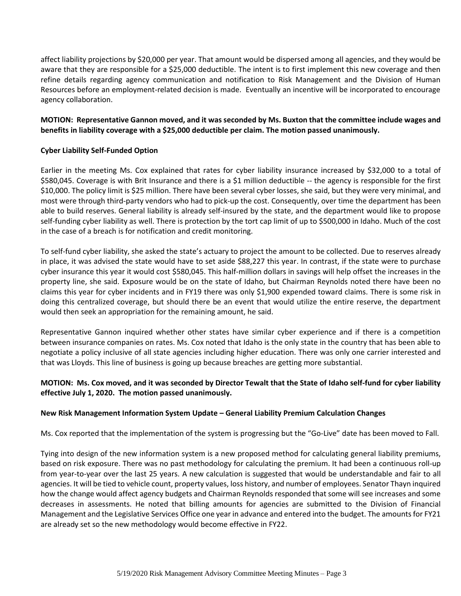affect liability projections by \$20,000 per year. That amount would be dispersed among all agencies, and they would be aware that they are responsible for a \$25,000 deductible. The intent is to first implement this new coverage and then refine details regarding agency communication and notification to Risk Management and the Division of Human Resources before an employment-related decision is made. Eventually an incentive will be incorporated to encourage agency collaboration.

# **MOTION: Representative Gannon moved, and it was seconded by Ms. Buxton that the committee include wages and benefits in liability coverage with a \$25,000 deductible per claim. The motion passed unanimously.**

# **Cyber Liability Self-Funded Option**

Earlier in the meeting Ms. Cox explained that rates for cyber liability insurance increased by \$32,000 to a total of \$580,045. Coverage is with Brit Insurance and there is a \$1 million deductible -- the agency is responsible for the first \$10,000. The policy limit is \$25 million. There have been several cyber losses, she said, but they were very minimal, and most were through third-party vendors who had to pick-up the cost. Consequently, over time the department has been able to build reserves. General liability is already self-insured by the state, and the department would like to propose self-funding cyber liability as well. There is protection by the tort cap limit of up to \$500,000 in Idaho. Much of the cost in the case of a breach is for notification and credit monitoring.

To self-fund cyber liability, she asked the state's actuary to project the amount to be collected. Due to reserves already in place, it was advised the state would have to set aside \$88,227 this year. In contrast, if the state were to purchase cyber insurance this year it would cost \$580,045. This half-million dollars in savings will help offset the increases in the property line, she said. Exposure would be on the state of Idaho, but Chairman Reynolds noted there have been no claims this year for cyber incidents and in FY19 there was only \$1,900 expended toward claims. There is some risk in doing this centralized coverage, but should there be an event that would utilize the entire reserve, the department would then seek an appropriation for the remaining amount, he said.

Representative Gannon inquired whether other states have similar cyber experience and if there is a competition between insurance companies on rates. Ms. Cox noted that Idaho is the only state in the country that has been able to negotiate a policy inclusive of all state agencies including higher education. There was only one carrier interested and that was Lloyds. This line of business is going up because breaches are getting more substantial.

# **MOTION: Ms. Cox moved, and it was seconded by Director Tewalt that the State of Idaho self-fund for cyber liability effective July 1, 2020. The motion passed unanimously.**

## **New Risk Management Information System Update – General Liability Premium Calculation Changes**

Ms. Cox reported that the implementation of the system is progressing but the "Go-Live" date has been moved to Fall.

Tying into design of the new information system is a new proposed method for calculating general liability premiums, based on risk exposure. There was no past methodology for calculating the premium. It had been a continuous roll-up from year-to-year over the last 25 years. A new calculation is suggested that would be understandable and fair to all agencies. It will be tied to vehicle count, property values, loss history, and number of employees. Senator Thayn inquired how the change would affect agency budgets and Chairman Reynolds responded that some will see increases and some decreases in assessments. He noted that billing amounts for agencies are submitted to the Division of Financial Management and the Legislative Services Office one year in advance and entered into the budget. The amounts for FY21 are already set so the new methodology would become effective in FY22.